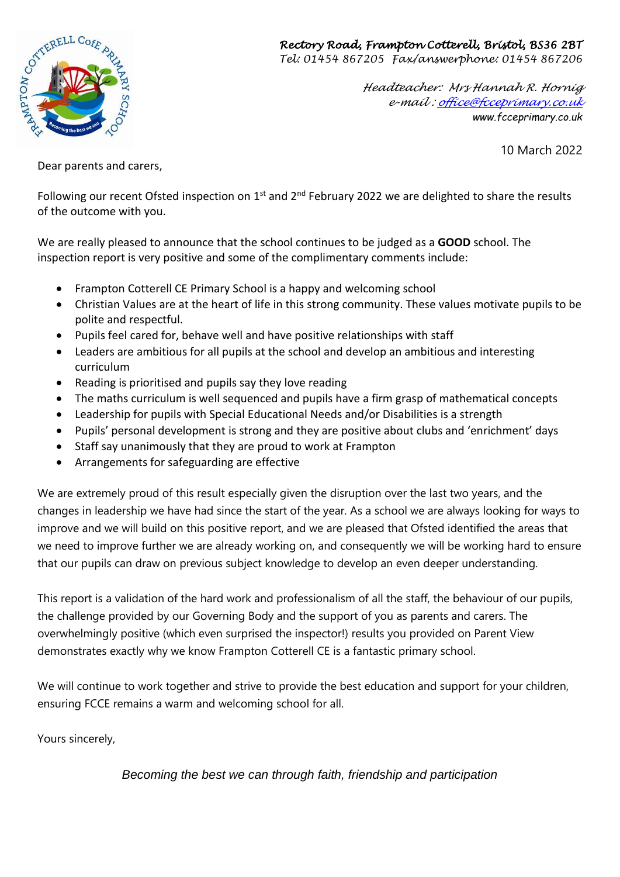## *Rectory Road, Frampton Cotterell, Bristol, BS36 2BT*



*Tel: 01454 867205 Fax/answerphone: 01454 867206*

*Headteacher: Mrs Hannah R. Hornig e-mail [: office@fcceprimary.co.uk](mailto:office@fcceprimary.co.uk) www.fcceprimary.co.uk*

10 March 2022

Dear parents and carers,

Following our recent Ofsted inspection on  $1^{st}$  and  $2^{nd}$  February 2022 we are delighted to share the results of the outcome with you.

We are really pleased to announce that the school continues to be judged as a **GOOD** school. The inspection report is very positive and some of the complimentary comments include:

- Frampton Cotterell CE Primary School is a happy and welcoming school
- Christian Values are at the heart of life in this strong community. These values motivate pupils to be polite and respectful.
- Pupils feel cared for, behave well and have positive relationships with staff
- Leaders are ambitious for all pupils at the school and develop an ambitious and interesting curriculum
- Reading is prioritised and pupils say they love reading
- The maths curriculum is well sequenced and pupils have a firm grasp of mathematical concepts
- Leadership for pupils with Special Educational Needs and/or Disabilities is a strength
- Pupils' personal development is strong and they are positive about clubs and 'enrichment' days
- Staff say unanimously that they are proud to work at Frampton
- Arrangements for safeguarding are effective

We are extremely proud of this result especially given the disruption over the last two years, and the changes in leadership we have had since the start of the year. As a school we are always looking for ways to improve and we will build on this positive report, and we are pleased that Ofsted identified the areas that we need to improve further we are already working on, and consequently we will be working hard to ensure that our pupils can draw on previous subject knowledge to develop an even deeper understanding.

This report is a validation of the hard work and professionalism of all the staff, the behaviour of our pupils, the challenge provided by our Governing Body and the support of you as parents and carers. The overwhelmingly positive (which even surprised the inspector!) results you provided on Parent View demonstrates exactly why we know Frampton Cotterell CE is a fantastic primary school.

We will continue to work together and strive to provide the best education and support for your children, ensuring FCCE remains a warm and welcoming school for all.

Yours sincerely,

*Becoming the best we can through faith, friendship and participation*